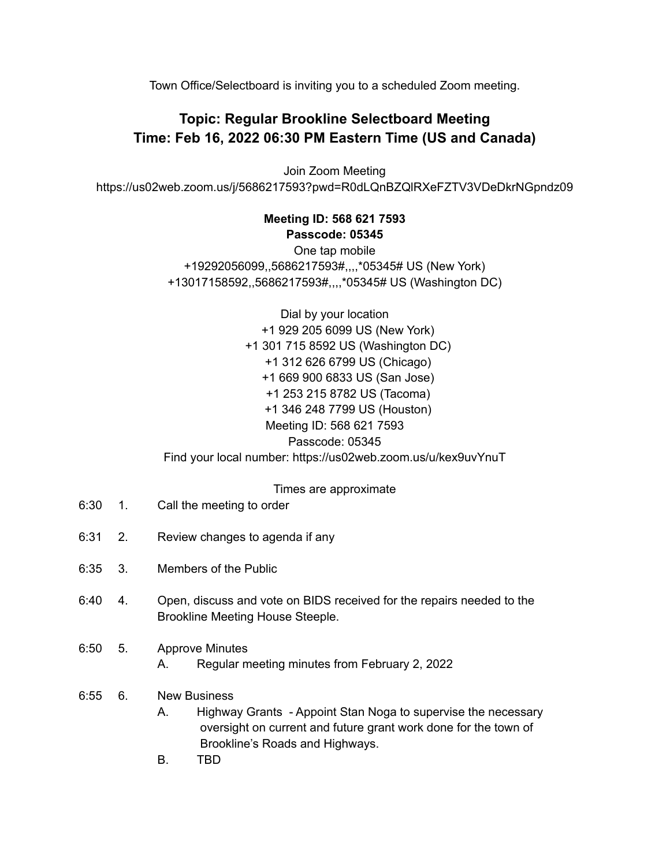Town Office/Selectboard is inviting you to a scheduled Zoom meeting.

## **Topic: Regular Brookline Selectboard Meeting Time: Feb 16, 2022 06:30 PM Eastern Time (US and Canada)**

Join Zoom Meeting https://us02web.zoom.us/j/5686217593?pwd=R0dLQnBZQlRXeFZTV3VDeDkrNGpndz09

## **Meeting ID: 568 621 7593 Passcode: 05345**

One tap mobile +19292056099,,5686217593#,,,,\*05345# US (New York) +13017158592,,5686217593#,,,,\*05345# US (Washington DC)

Dial by your location +1 929 205 6099 US (New York) +1 301 715 8592 US (Washington DC) +1 312 626 6799 US (Chicago) +1 669 900 6833 US (San Jose) +1 253 215 8782 US (Tacoma) +1 346 248 7799 US (Houston) Meeting ID: 568 621 7593 Passcode: 05345 Find your local number: https://us02web.zoom.us/u/kex9uvYnuT

## Times are approximate

- 6:30 1. Call the meeting to order
- 6:31 2. Review changes to agenda if any
- 6:35 3. Members of the Public
- 6:40 4. Open, discuss and vote on BIDS received for the repairs needed to the Brookline Meeting House Steeple.
- 6:50 5. Approve Minutes
	- A. Regular meeting minutes from February 2, 2022

## 6:55 6. New Business

- A. Highway Grants Appoint Stan Noga to supervise the necessary oversight on current and future grant work done for the town of Brookline's Roads and Highways.
- B. TBD